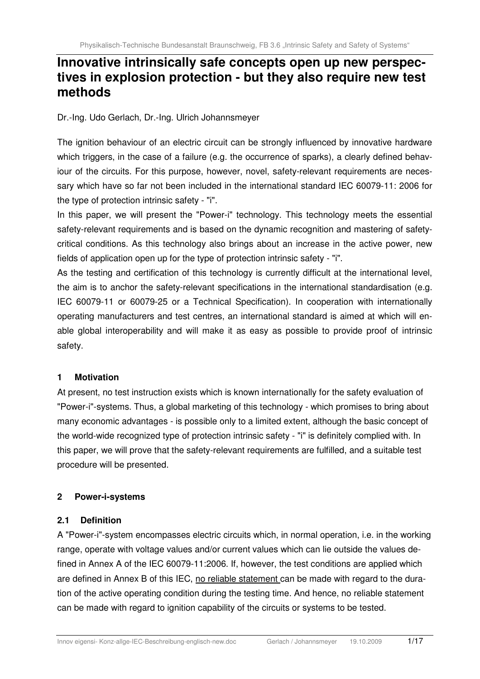# **Innovative intrinsically safe concepts open up new perspectives in explosion protection - but they also require new test methods**

Dr.-Ing. Udo Gerlach, Dr.-Ing. Ulrich Johannsmeyer

The ignition behaviour of an electric circuit can be strongly influenced by innovative hardware which triggers, in the case of a failure (e.g. the occurrence of sparks), a clearly defined behaviour of the circuits. For this purpose, however, novel, safety-relevant requirements are necessary which have so far not been included in the international standard IEC 60079-11: 2006 for the type of protection intrinsic safety - "i".

In this paper, we will present the "Power-i" technology. This technology meets the essential safety-relevant requirements and is based on the dynamic recognition and mastering of safetycritical conditions. As this technology also brings about an increase in the active power, new fields of application open up for the type of protection intrinsic safety - "i".

As the testing and certification of this technology is currently difficult at the international level, the aim is to anchor the safety-relevant specifications in the international standardisation (e.g. IEC 60079-11 or 60079-25 or a Technical Specification). In cooperation with internationally operating manufacturers and test centres, an international standard is aimed at which will enable global interoperability and will make it as easy as possible to provide proof of intrinsic safety.

### **1 Motivation**

At present, no test instruction exists which is known internationally for the safety evaluation of "Power-i"-systems. Thus, a global marketing of this technology - which promises to bring about many economic advantages - is possible only to a limited extent, although the basic concept of the world-wide recognized type of protection intrinsic safety - "i" is definitely complied with. In this paper, we will prove that the safety-relevant requirements are fulfilled, and a suitable test procedure will be presented.

## **2 Power-i-systems**

### **2.1 Definition**

A "Power-i"-system encompasses electric circuits which, in normal operation, i.e. in the working range, operate with voltage values and/or current values which can lie outside the values defined in Annex A of the IEC 60079-11:2006. If, however, the test conditions are applied which are defined in Annex B of this IEC, no reliable statement can be made with regard to the duration of the active operating condition during the testing time. And hence, no reliable statement can be made with regard to ignition capability of the circuits or systems to be tested.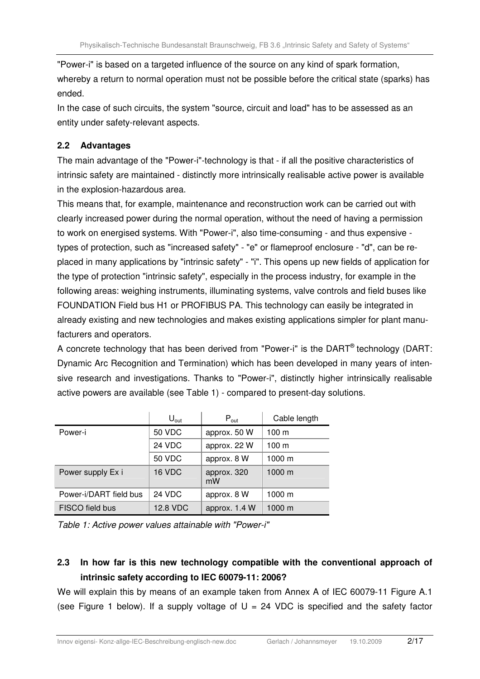"Power-i" is based on a targeted influence of the source on any kind of spark formation, whereby a return to normal operation must not be possible before the critical state (sparks) has ended.

In the case of such circuits, the system "source, circuit and load" has to be assessed as an entity under safety-relevant aspects.

## **2.2 Advantages**

The main advantage of the "Power-i"-technology is that - if all the positive characteristics of intrinsic safety are maintained - distinctly more intrinsically realisable active power is available in the explosion-hazardous area.

This means that, for example, maintenance and reconstruction work can be carried out with clearly increased power during the normal operation, without the need of having a permission to work on energised systems. With "Power-i", also time-consuming - and thus expensive types of protection, such as "increased safety" - "e" or flameproof enclosure - "d", can be replaced in many applications by "intrinsic safety" - "i". This opens up new fields of application for the type of protection "intrinsic safety", especially in the process industry, for example in the following areas: weighing instruments, illuminating systems, valve controls and field buses like FOUNDATION Field bus H1 or PROFIBUS PA. This technology can easily be integrated in already existing and new technologies and makes existing applications simpler for plant manufacturers and operators.

A concrete technology that has been derived from "Power-i" is the DART® technology (DART: Dynamic Arc Recognition and Termination) which has been developed in many years of intensive research and investigations. Thanks to "Power-i", distinctly higher intrinsically realisable active powers are available (see Table 1) - compared to present-day solutions.

|                        | $U_{\text{out}}$ | $P_{\text{out}}$  | Cable length     |
|------------------------|------------------|-------------------|------------------|
| Power-i                | <b>50 VDC</b>    | approx. 50 W      | 100 <sub>m</sub> |
|                        | 24 VDC           | approx. 22 W      | 100 <sub>m</sub> |
|                        | <b>50 VDC</b>    | approx. 8 W       | 1000 m           |
| Power supply Ex i      | 16 VDC           | approx. 320<br>mW | 1000 m           |
| Power-i/DART field bus | 24 VDC           | approx. 8 W       | 1000 m           |
| FISCO field bus        | 12.8 VDC         | approx. 1.4 W     | 1000 m           |

Table 1: Active power values attainable with "Power-i"

## **2.3 In how far is this new technology compatible with the conventional approach of intrinsic safety according to IEC 60079-11: 2006?**

We will explain this by means of an example taken from Annex A of IEC 60079-11 Figure A.1 (see Figure 1 below). If a supply voltage of  $U = 24$  VDC is specified and the safety factor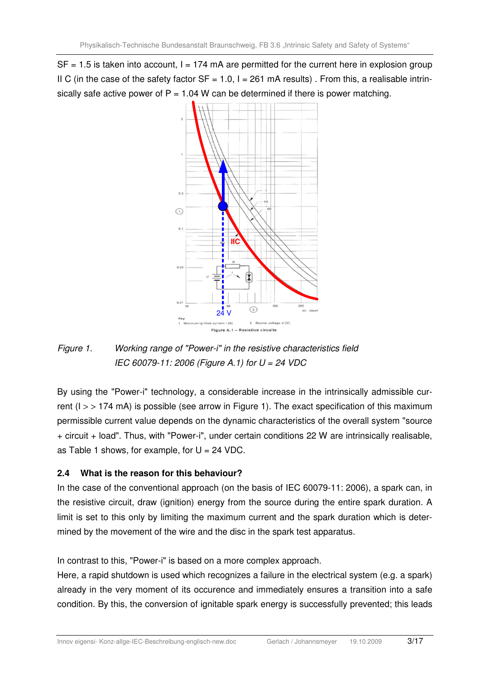$SF = 1.5$  is taken into account,  $I = 174$  mA are permitted for the current here in explosion group II C (in the case of the safety factor  $SF = 1.0$ ,  $I = 261$  mA results). From this, a realisable intrinsically safe active power of  $P = 1.04$  W can be determined if there is power matching.



Figure 1. Working range of "Power-i" in the resistive characteristics field IEC 60079-11: 2006 (Figure A.1) for  $U = 24$  VDC

By using the "Power-i" technology, a considerable increase in the intrinsically admissible current ( $I >$  > 174 mA) is possible (see arrow in Figure 1). The exact specification of this maximum permissible current value depends on the dynamic characteristics of the overall system "source + circuit + load". Thus, with "Power-i", under certain conditions 22 W are intrinsically realisable, as Table 1 shows, for example, for  $U = 24$  VDC.

## **2.4 What is the reason for this behaviour?**

In the case of the conventional approach (on the basis of IEC 60079-11: 2006), a spark can, in the resistive circuit, draw (ignition) energy from the source during the entire spark duration. A limit is set to this only by limiting the maximum current and the spark duration which is determined by the movement of the wire and the disc in the spark test apparatus.

In contrast to this, "Power-i" is based on a more complex approach.

Here, a rapid shutdown is used which recognizes a failure in the electrical system (e.g. a spark) already in the very moment of its occurence and immediately ensures a transition into a safe condition. By this, the conversion of ignitable spark energy is successfully prevented; this leads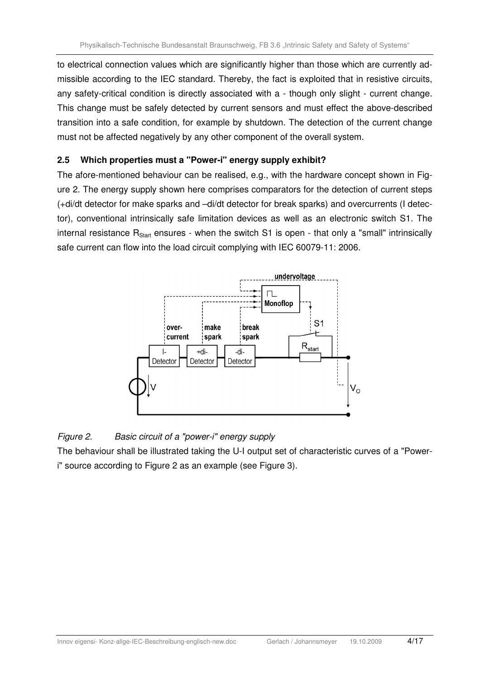to electrical connection values which are significantly higher than those which are currently admissible according to the IEC standard. Thereby, the fact is exploited that in resistive circuits, any safety-critical condition is directly associated with a - though only slight - current change. This change must be safely detected by current sensors and must effect the above-described transition into a safe condition, for example by shutdown. The detection of the current change must not be affected negatively by any other component of the overall system.

### **2.5 Which properties must a "Power-i" energy supply exhibit?**

The afore-mentioned behaviour can be realised, e.g., with the hardware concept shown in Figure 2. The energy supply shown here comprises comparators for the detection of current steps (+di/dt detector for make sparks and –di/dt detector for break sparks) and overcurrents (I detector), conventional intrinsically safe limitation devices as well as an electronic switch S1. The internal resistance  $R_{Start}$  ensures - when the switch S1 is open - that only a "small" intrinsically safe current can flow into the load circuit complying with IEC 60079-11: 2006.



### Figure 2. Basic circuit of a "power-i" energy supply

The behaviour shall be illustrated taking the U-I output set of characteristic curves of a "Poweri" source according to Figure 2 as an example (see Figure 3).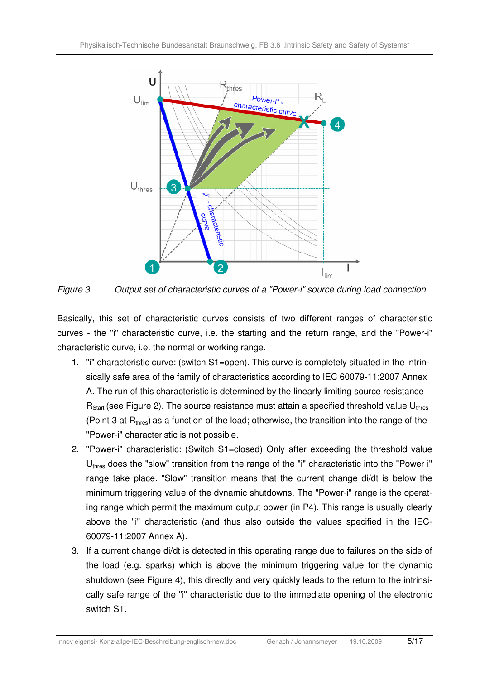

Figure 3. Output set of characteristic curves of a "Power-i" source during load connection

Basically, this set of characteristic curves consists of two different ranges of characteristic curves - the "i" characteristic curve, i.e. the starting and the return range, and the "Power-i" characteristic curve, i.e. the normal or working range.

- 1. "i" characteristic curve: (switch S1=open). This curve is completely situated in the intrinsically safe area of the family of characteristics according to IEC 60079-11:2007 Annex A. The run of this characteristic is determined by the linearly limiting source resistance  $R<sub>Start</sub>$  (see Figure 2). The source resistance must attain a specified threshold value  $U<sub>thres</sub>$ (Point 3 at  $R_{thres}$ ) as a function of the load; otherwise, the transition into the range of the "Power-i" characteristic is not possible.
- 2. "Power-i" characteristic: (Switch S1=closed) Only after exceeding the threshold value  $U_{\text{thres}}$  does the "slow" transition from the range of the "i" characteristic into the "Power i" range take place. "Slow" transition means that the current change di/dt is below the minimum triggering value of the dynamic shutdowns. The "Power-i" range is the operating range which permit the maximum output power (in P4). This range is usually clearly above the "i" characteristic (and thus also outside the values specified in the IEC-60079-11:2007 Annex A).
- 3. If a current change di/dt is detected in this operating range due to failures on the side of the load (e.g. sparks) which is above the minimum triggering value for the dynamic shutdown (see Figure 4), this directly and very quickly leads to the return to the intrinsically safe range of the "i" characteristic due to the immediate opening of the electronic switch S1.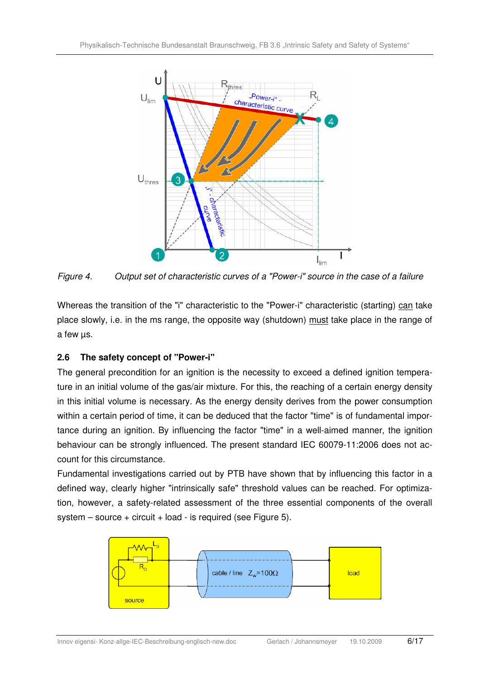

Figure 4. Output set of characteristic curves of a "Power-i" source in the case of a failure

Whereas the transition of the "i" characteristic to the "Power-i" characteristic (starting) can take place slowly, i.e. in the ms range, the opposite way (shutdown) must take place in the range of a few µs.

## **2.6 The safety concept of "Power-i"**

The general precondition for an ignition is the necessity to exceed a defined ignition temperature in an initial volume of the gas/air mixture. For this, the reaching of a certain energy density in this initial volume is necessary. As the energy density derives from the power consumption within a certain period of time, it can be deduced that the factor "time" is of fundamental importance during an ignition. By influencing the factor "time" in a well-aimed manner, the ignition behaviour can be strongly influenced. The present standard IEC 60079-11:2006 does not account for this circumstance.

Fundamental investigations carried out by PTB have shown that by influencing this factor in a defined way, clearly higher "intrinsically safe" threshold values can be reached. For optimization, however, a safety-related assessment of the three essential components of the overall  $s$ ystem – source + circuit + load - is required (see Figure 5).

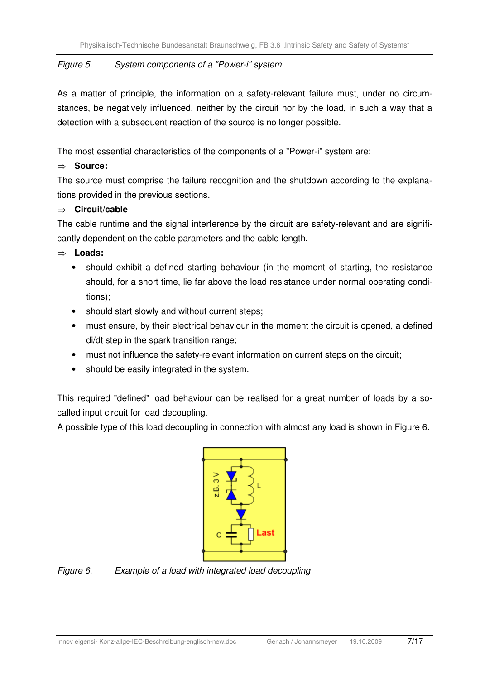### Figure 5. System components of a "Power-i" system

As a matter of principle, the information on a safety-relevant failure must, under no circumstances, be negatively influenced, neither by the circuit nor by the load, in such a way that a detection with a subsequent reaction of the source is no longer possible.

The most essential characteristics of the components of a "Power-i" system are:

## ⇒ **Source:**

The source must comprise the failure recognition and the shutdown according to the explanations provided in the previous sections.

## ⇒ **Circuit/cable**

The cable runtime and the signal interference by the circuit are safety-relevant and are significantly dependent on the cable parameters and the cable length.

## ⇒ **Loads:**

- should exhibit a defined starting behaviour (in the moment of starting, the resistance should, for a short time, lie far above the load resistance under normal operating conditions);
- should start slowly and without current steps;
- must ensure, by their electrical behaviour in the moment the circuit is opened, a defined di/dt step in the spark transition range;
- must not influence the safety-relevant information on current steps on the circuit;
- should be easily integrated in the system.

This required "defined" load behaviour can be realised for a great number of loads by a socalled input circuit for load decoupling.

A possible type of this load decoupling in connection with almost any load is shown in Figure 6.



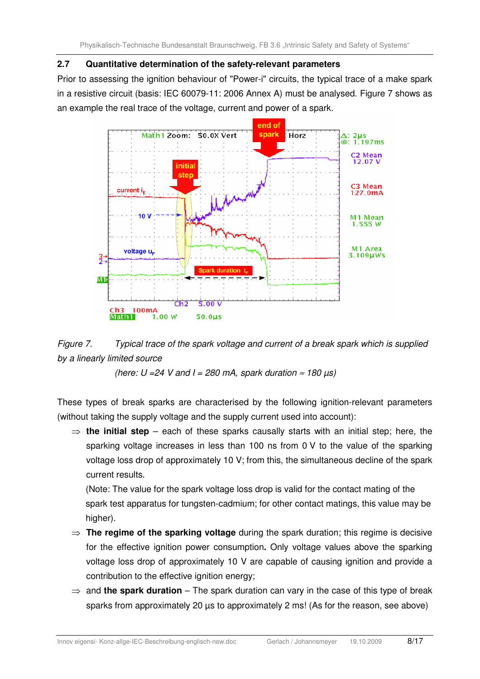#### **2.7 Quantitative determination of the safety-relevant parameters**

Prior to assessing the ignition behaviour of "Power-i" circuits, the typical trace of a make spark in a resistive circuit (basis: IEC 60079-11: 2006 Annex A) must be analysed. Figure 7 shows as an example the real trace of the voltage, current and power of a spark.





(here:  $U = 24$  V and I = 280 mA, spark duration  $\approx 180 \,\mu s$ )

These types of break sparks are characterised by the following ignition-relevant parameters (without taking the supply voltage and the supply current used into account):

⇒ **the initial step** – each of these sparks causally starts with an initial step; here, the sparking voltage increases in less than 100 ns from 0 V to the value of the sparking voltage loss drop of approximately 10 V; from this, the simultaneous decline of the spark current results.

 (Note: The value for the spark voltage loss drop is valid for the contact mating of the spark test apparatus for tungsten-cadmium; for other contact matings, this value may be higher).

- ⇒ **The regime of the sparking voltage** during the spark duration; this regime is decisive for the effective ignition power consumption**.** Only voltage values above the sparking voltage loss drop of approximately 10 V are capable of causing ignition and provide a contribution to the effective ignition energy;
- ⇒ and **the spark duration** The spark duration can vary in the case of this type of break sparks from approximately 20 µs to approximately 2 ms! (As for the reason, see above)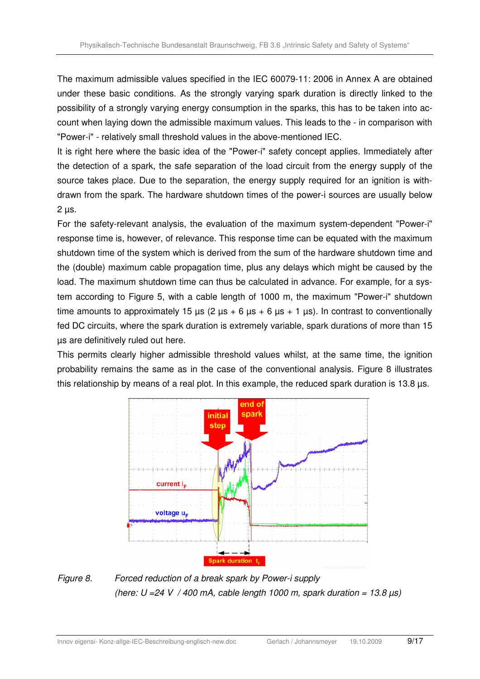The maximum admissible values specified in the IEC 60079-11: 2006 in Annex A are obtained under these basic conditions. As the strongly varying spark duration is directly linked to the possibility of a strongly varying energy consumption in the sparks, this has to be taken into account when laying down the admissible maximum values. This leads to the - in comparison with "Power-i" - relatively small threshold values in the above-mentioned IEC.

It is right here where the basic idea of the "Power-i" safety concept applies. Immediately after the detection of a spark, the safe separation of the load circuit from the energy supply of the source takes place. Due to the separation, the energy supply required for an ignition is withdrawn from the spark. The hardware shutdown times of the power-i sources are usually below  $2 \mu s$ .

For the safety-relevant analysis, the evaluation of the maximum system-dependent "Power-i" response time is, however, of relevance. This response time can be equated with the maximum shutdown time of the system which is derived from the sum of the hardware shutdown time and the (double) maximum cable propagation time, plus any delays which might be caused by the load. The maximum shutdown time can thus be calculated in advance. For example, for a system according to Figure 5, with a cable length of 1000 m, the maximum "Power-i" shutdown time amounts to approximately 15  $\mu$ s (2  $\mu$ s + 6  $\mu$ s + 6  $\mu$ s + 1  $\mu$ s). In contrast to conventionally fed DC circuits, where the spark duration is extremely variable, spark durations of more than 15 µs are definitively ruled out here.

This permits clearly higher admissible threshold values whilst, at the same time, the ignition probability remains the same as in the case of the conventional analysis. Figure 8 illustrates this relationship by means of a real plot. In this example, the reduced spark duration is 13.8 µs.



Figure 8. Forced reduction of a break spark by Power-i supply (here:  $U = 24 V / 400 mA$ , cable length 1000 m, spark duration = 13.8  $\mu s$ )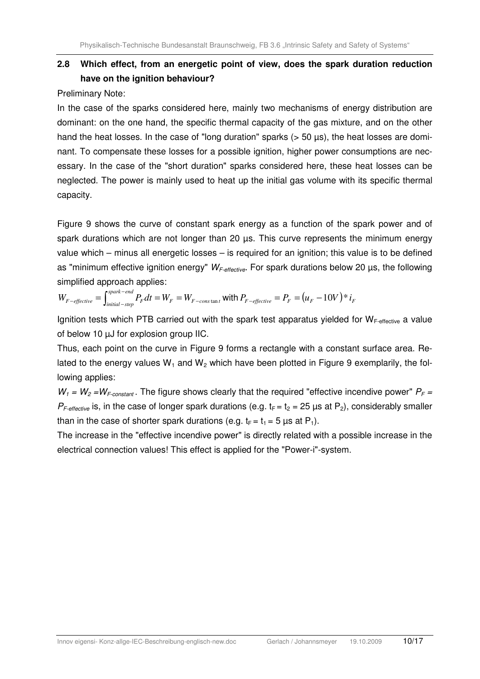## **2.8 Which effect, from an energetic point of view, does the spark duration reduction have on the ignition behaviour?**

Preliminary Note:

In the case of the sparks considered here, mainly two mechanisms of energy distribution are dominant: on the one hand, the specific thermal capacity of the gas mixture, and on the other hand the heat losses. In the case of "long duration" sparks ( $>$  50 µs), the heat losses are dominant. To compensate these losses for a possible ignition, higher power consumptions are necessary. In the case of the "short duration" sparks considered here, these heat losses can be neglected. The power is mainly used to heat up the initial gas volume with its specific thermal capacity.

Figure 9 shows the curve of constant spark energy as a function of the spark power and of spark durations which are not longer than 20 us. This curve represents the minimum energy value which – minus all energetic losses – is required for an ignition; this value is to be defined as "minimum effective ignition energy"  $W_{F\text{-effective}}$ . For spark durations below 20  $\mu$ s, the following simplified approach applies:

 $F = V F$ <sub>*F*  $-$ *cons* tan *t*</sub> *spark end*  $W_{F-effective} = \int_{initial-step}^{spark-end} P_F dt = W_F = W_{F-cons}$ tan  $\sigma_{effective} = \int_{initial-step}^{spark-end} P_F dt = W_F = W_{F-constant}$  with  $P_{F-effective} = P_F = (u_F - 10V) * i_F$ 

Ignition tests which PTB carried out with the spark test apparatus yielded for  $W_{F\text{-effective}}$  a value of below 10 µJ for explosion group IIC.

Thus, each point on the curve in Figure 9 forms a rectangle with a constant surface area. Related to the energy values  $W_1$  and  $W_2$  which have been plotted in Figure 9 exemplarily, the following applies:

 $W_1 = W_2 = W_{F-constant}$ . The figure shows clearly that the required "effective incendive power"  $P_F =$  $P_{F\text{-effective}}$  is, in the case of longer spark durations (e.g.  $t_F = t_2 = 25 \,\mu s$  at P<sub>2</sub>), considerably smaller than in the case of shorter spark durations (e.g.  $t_F = t_1 = 5 \mu s$  at P<sub>1</sub>).

The increase in the "effective incendive power" is directly related with a possible increase in the electrical connection values! This effect is applied for the "Power-i"-system.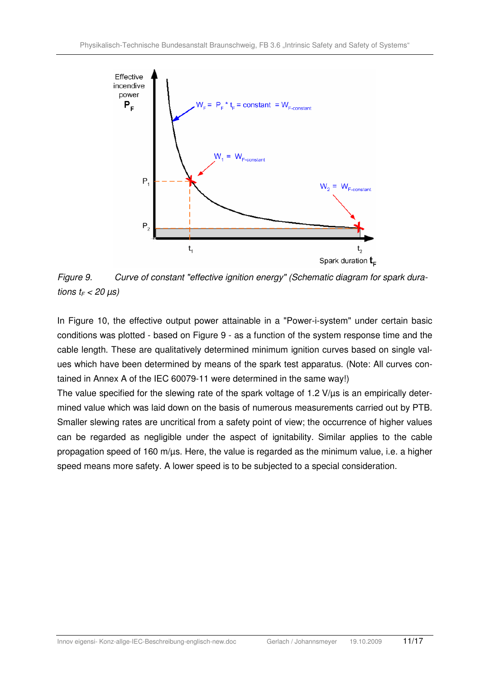

Figure 9. Curve of constant "effective ignition energy" (Schematic diagram for spark durations  $t_F < 20 \ \mu s$ )

In Figure 10, the effective output power attainable in a "Power-i-system" under certain basic conditions was plotted - based on Figure 9 - as a function of the system response time and the cable length. These are qualitatively determined minimum ignition curves based on single values which have been determined by means of the spark test apparatus. (Note: All curves contained in Annex A of the IEC 60079-11 were determined in the same way!)

The value specified for the slewing rate of the spark voltage of 1.2 V/us is an empirically determined value which was laid down on the basis of numerous measurements carried out by PTB. Smaller slewing rates are uncritical from a safety point of view; the occurrence of higher values can be regarded as negligible under the aspect of ignitability. Similar applies to the cable propagation speed of 160 m/us. Here, the value is regarded as the minimum value, i.e. a higher speed means more safety. A lower speed is to be subjected to a special consideration.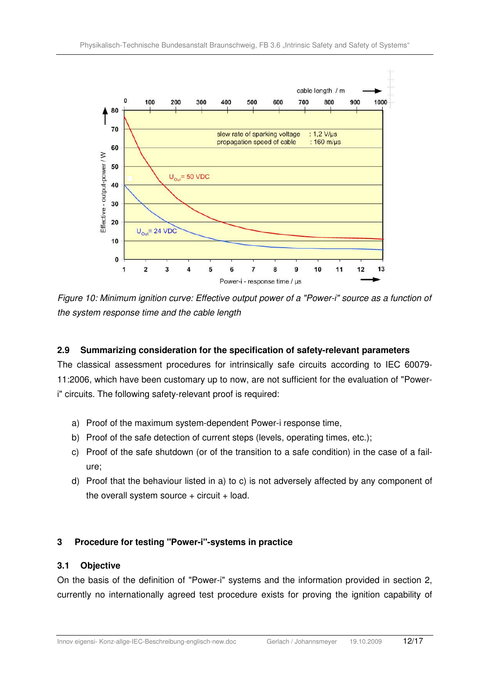

Figure 10: Minimum ignition curve: Effective output power of a "Power-i" source as a function of the system response time and the cable length

### **2.9 Summarizing consideration for the specification of safety-relevant parameters**

The classical assessment procedures for intrinsically safe circuits according to IEC 60079- 11:2006, which have been customary up to now, are not sufficient for the evaluation of "Poweri" circuits. The following safety-relevant proof is required:

- a) Proof of the maximum system-dependent Power-i response time,
- b) Proof of the safe detection of current steps (levels, operating times, etc.);
- c) Proof of the safe shutdown (or of the transition to a safe condition) in the case of a failure;
- d) Proof that the behaviour listed in a) to c) is not adversely affected by any component of the overall system source  $+$  circuit  $+$  load.

### **3 Procedure for testing "Power-i"-systems in practice**

### **3.1 Objective**

On the basis of the definition of "Power-i" systems and the information provided in section 2, currently no internationally agreed test procedure exists for proving the ignition capability of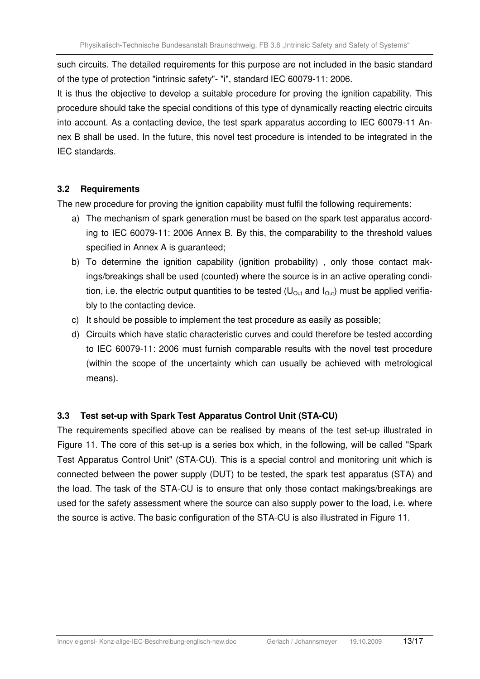such circuits. The detailed requirements for this purpose are not included in the basic standard of the type of protection "intrinsic safety"- "i", standard IEC 60079-11: 2006.

It is thus the objective to develop a suitable procedure for proving the ignition capability. This procedure should take the special conditions of this type of dynamically reacting electric circuits into account. As a contacting device, the test spark apparatus according to IEC 60079-11 Annex B shall be used. In the future, this novel test procedure is intended to be integrated in the IEC standards.

### **3.2 Requirements**

The new procedure for proving the ignition capability must fulfil the following requirements:

- a) The mechanism of spark generation must be based on the spark test apparatus according to IEC 60079-11: 2006 Annex B. By this, the comparability to the threshold values specified in Annex A is guaranteed;
- b) To determine the ignition capability (ignition probability), only those contact makings/breakings shall be used (counted) where the source is in an active operating condition, i.e. the electric output quantities to be tested ( $U_{Out}$  and  $I_{Out}$ ) must be applied verifiably to the contacting device.
- c) It should be possible to implement the test procedure as easily as possible;
- d) Circuits which have static characteristic curves and could therefore be tested according to IEC 60079-11: 2006 must furnish comparable results with the novel test procedure (within the scope of the uncertainty which can usually be achieved with metrological means).

## **3.3 Test set-up with Spark Test Apparatus Control Unit (STA-CU)**

The requirements specified above can be realised by means of the test set-up illustrated in Figure 11. The core of this set-up is a series box which, in the following, will be called "Spark Test Apparatus Control Unit" (STA-CU). This is a special control and monitoring unit which is connected between the power supply (DUT) to be tested, the spark test apparatus (STA) and the load. The task of the STA-CU is to ensure that only those contact makings/breakings are used for the safety assessment where the source can also supply power to the load, i.e. where the source is active. The basic configuration of the STA-CU is also illustrated in Figure 11.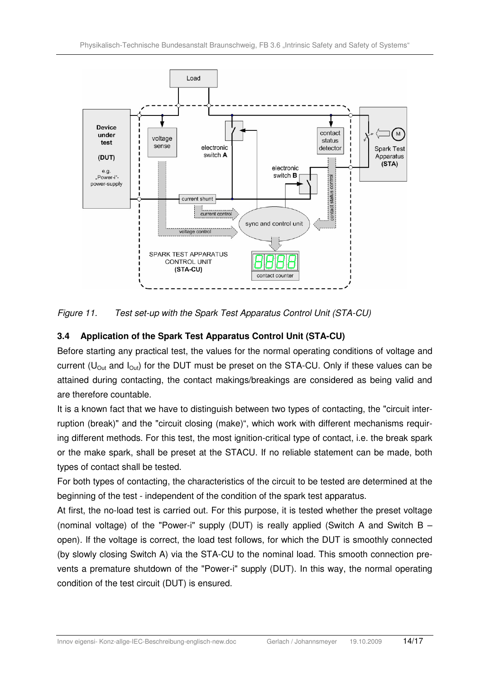

Figure 11. Test set-up with the Spark Test Apparatus Control Unit (STA-CU)

## **3.4 Application of the Spark Test Apparatus Control Unit (STA-CU)**

Before starting any practical test, the values for the normal operating conditions of voltage and current ( $U_{\text{Out}}$  and  $I_{\text{Out}}$ ) for the DUT must be preset on the STA-CU. Only if these values can be attained during contacting, the contact makings/breakings are considered as being valid and are therefore countable.

It is a known fact that we have to distinguish between two types of contacting, the "circuit interruption (break)" and the "circuit closing (make)", which work with different mechanisms requiring different methods. For this test, the most ignition-critical type of contact, i.e. the break spark or the make spark, shall be preset at the STACU. If no reliable statement can be made, both types of contact shall be tested.

For both types of contacting, the characteristics of the circuit to be tested are determined at the beginning of the test - independent of the condition of the spark test apparatus.

At first, the no-load test is carried out. For this purpose, it is tested whether the preset voltage (nominal voltage) of the "Power-i" supply (DUT) is really applied (Switch A and Switch B – open). If the voltage is correct, the load test follows, for which the DUT is smoothly connected (by slowly closing Switch A) via the STA-CU to the nominal load. This smooth connection prevents a premature shutdown of the "Power-i" supply (DUT). In this way, the normal operating condition of the test circuit (DUT) is ensured.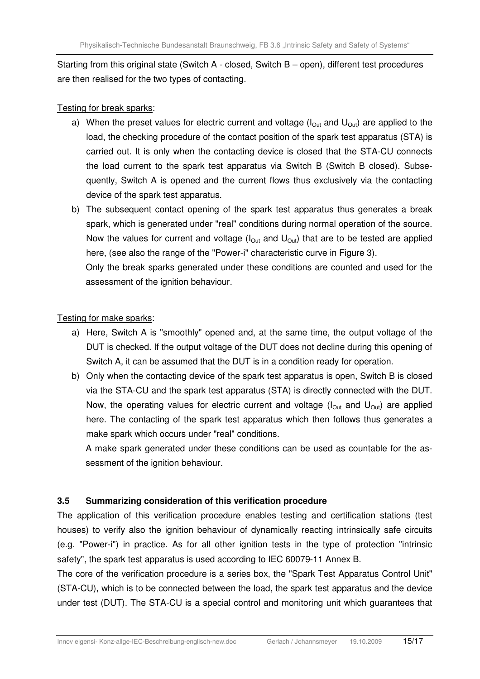Starting from this original state (Switch A - closed, Switch B – open), different test procedures are then realised for the two types of contacting.

### Testing for break sparks:

- a) When the preset values for electric current and voltage ( $I<sub>Out</sub>$  and  $U<sub>Out</sub>$ ) are applied to the load, the checking procedure of the contact position of the spark test apparatus (STA) is carried out. It is only when the contacting device is closed that the STA-CU connects the load current to the spark test apparatus via Switch B (Switch B closed). Subsequently, Switch A is opened and the current flows thus exclusively via the contacting device of the spark test apparatus.
- b) The subsequent contact opening of the spark test apparatus thus generates a break spark, which is generated under "real" conditions during normal operation of the source. Now the values for current and voltage ( $I_{Out}$  and  $U_{Out}$ ) that are to be tested are applied here, (see also the range of the "Power-i" characteristic curve in Figure 3).

 Only the break sparks generated under these conditions are counted and used for the assessment of the ignition behaviour.

### Testing for make sparks:

- a) Here, Switch A is "smoothly" opened and, at the same time, the output voltage of the DUT is checked. If the output voltage of the DUT does not decline during this opening of Switch A, it can be assumed that the DUT is in a condition ready for operation.
- b) Only when the contacting device of the spark test apparatus is open, Switch B is closed via the STA-CU and the spark test apparatus (STA) is directly connected with the DUT. Now, the operating values for electric current and voltage ( $I<sub>Out</sub>$  and  $U<sub>Out</sub>$ ) are applied here. The contacting of the spark test apparatus which then follows thus generates a make spark which occurs under "real" conditions.

 A make spark generated under these conditions can be used as countable for the assessment of the ignition behaviour.

### **3.5 Summarizing consideration of this verification procedure**

The application of this verification procedure enables testing and certification stations (test houses) to verify also the ignition behaviour of dynamically reacting intrinsically safe circuits (e.g. "Power-i") in practice. As for all other ignition tests in the type of protection "intrinsic safety", the spark test apparatus is used according to IEC 60079-11 Annex B.

The core of the verification procedure is a series box, the "Spark Test Apparatus Control Unit" (STA-CU), which is to be connected between the load, the spark test apparatus and the device under test (DUT). The STA-CU is a special control and monitoring unit which guarantees that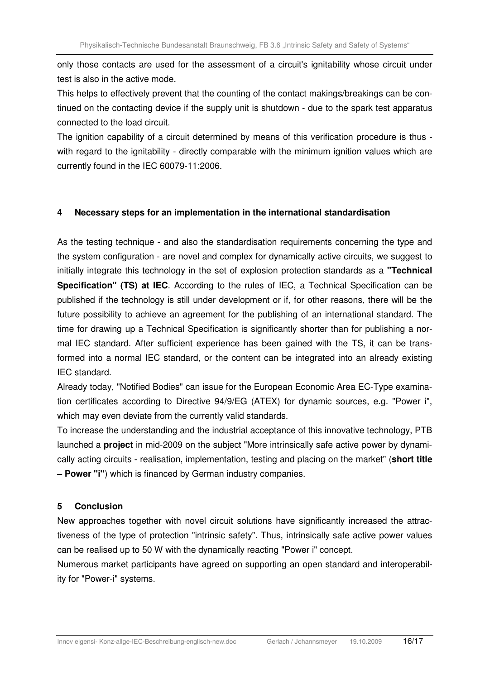only those contacts are used for the assessment of a circuit's ignitability whose circuit under test is also in the active mode.

This helps to effectively prevent that the counting of the contact makings/breakings can be continued on the contacting device if the supply unit is shutdown - due to the spark test apparatus connected to the load circuit.

The ignition capability of a circuit determined by means of this verification procedure is thus with regard to the ignitability - directly comparable with the minimum ignition values which are currently found in the IEC 60079-11:2006.

### **4 Necessary steps for an implementation in the international standardisation**

As the testing technique - and also the standardisation requirements concerning the type and the system configuration - are novel and complex for dynamically active circuits, we suggest to initially integrate this technology in the set of explosion protection standards as a **"Technical Specification" (TS) at IEC.** According to the rules of IEC, a Technical Specification can be published if the technology is still under development or if, for other reasons, there will be the future possibility to achieve an agreement for the publishing of an international standard. The time for drawing up a Technical Specification is significantly shorter than for publishing a normal IEC standard. After sufficient experience has been gained with the TS, it can be transformed into a normal IEC standard, or the content can be integrated into an already existing IEC standard.

Already today, "Notified Bodies" can issue for the European Economic Area EC-Type examination certificates according to Directive 94/9/EG (ATEX) for dynamic sources, e.g. "Power i", which may even deviate from the currently valid standards.

To increase the understanding and the industrial acceptance of this innovative technology, PTB launched a **project** in mid-2009 on the subject "More intrinsically safe active power by dynamically acting circuits - realisation, implementation, testing and placing on the market" (**short title – Power "i"**) which is financed by German industry companies.

### **5 Conclusion**

New approaches together with novel circuit solutions have significantly increased the attractiveness of the type of protection "intrinsic safety". Thus, intrinsically safe active power values can be realised up to 50 W with the dynamically reacting "Power i" concept.

Numerous market participants have agreed on supporting an open standard and interoperability for "Power-i" systems.